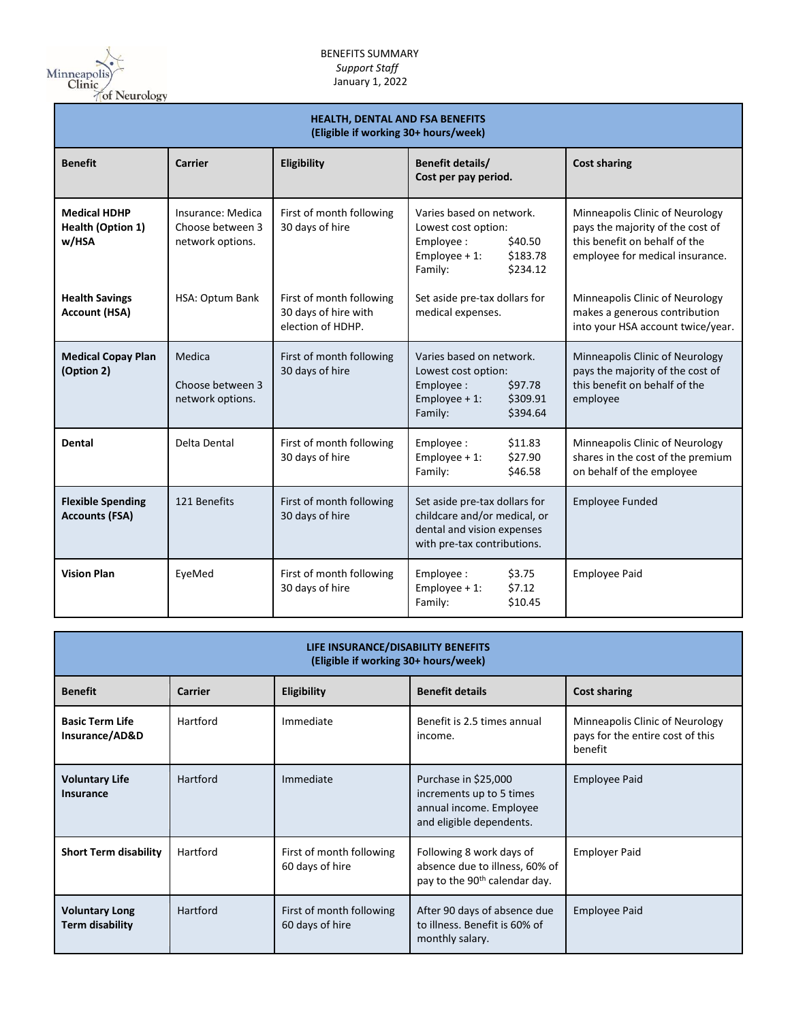

| <b>HEALTH, DENTAL AND FSA BENEFITS</b><br>(Eligible if working 30+ hours/week) |                                                           |                                                                       |                                                                                                                               |                                                                                                                                         |
|--------------------------------------------------------------------------------|-----------------------------------------------------------|-----------------------------------------------------------------------|-------------------------------------------------------------------------------------------------------------------------------|-----------------------------------------------------------------------------------------------------------------------------------------|
| <b>Benefit</b>                                                                 | Carrier                                                   | Eligibility                                                           | Benefit details/<br>Cost per pay period.                                                                                      | <b>Cost sharing</b>                                                                                                                     |
| <b>Medical HDHP</b><br><b>Health (Option 1)</b><br>w/HSA                       | Insurance: Medica<br>Choose between 3<br>network options. | First of month following<br>30 days of hire                           | Varies based on network.<br>Lowest cost option:<br>Employee:<br>\$40.50<br>Employee $+1$ :<br>\$183.78<br>Family:<br>\$234.12 | Minneapolis Clinic of Neurology<br>pays the majority of the cost of<br>this benefit on behalf of the<br>employee for medical insurance. |
| <b>Health Savings</b><br><b>Account (HSA)</b>                                  | HSA: Optum Bank                                           | First of month following<br>30 days of hire with<br>election of HDHP. | Set aside pre-tax dollars for<br>medical expenses.                                                                            | Minneapolis Clinic of Neurology<br>makes a generous contribution<br>into your HSA account twice/year.                                   |
| <b>Medical Copay Plan</b><br>(Option 2)                                        | Medica<br>Choose between 3<br>network options.            | First of month following<br>30 days of hire                           | Varies based on network.<br>Lowest cost option:<br>Employee:<br>\$97.78<br>Employee $+1$ :<br>\$309.91<br>Family:<br>\$394.64 | Minneapolis Clinic of Neurology<br>pays the majority of the cost of<br>this benefit on behalf of the<br>employee                        |
| <b>Dental</b>                                                                  | Delta Dental                                              | First of month following<br>30 days of hire                           | Employee:<br>\$11.83<br>Employee $+1$ :<br>\$27.90<br>Family:<br>\$46.58                                                      | Minneapolis Clinic of Neurology<br>shares in the cost of the premium<br>on behalf of the employee                                       |
| <b>Flexible Spending</b><br><b>Accounts (FSA)</b>                              | 121 Benefits                                              | First of month following<br>30 days of hire                           | Set aside pre-tax dollars for<br>childcare and/or medical, or<br>dental and vision expenses<br>with pre-tax contributions.    | <b>Employee Funded</b>                                                                                                                  |
| <b>Vision Plan</b>                                                             | EyeMed                                                    | First of month following<br>30 days of hire                           | Employee:<br>\$3.75<br>Employee $+1$ :<br>\$7.12<br>Family:<br>\$10.45                                                        | <b>Employee Paid</b>                                                                                                                    |

| LIFE INSURANCE/DISABILITY BENEFITS<br>(Eligible if working 30+ hours/week) |          |                                             |                                                                                                         |                                                                                |
|----------------------------------------------------------------------------|----------|---------------------------------------------|---------------------------------------------------------------------------------------------------------|--------------------------------------------------------------------------------|
| <b>Benefit</b>                                                             | Carrier  | <b>Eligibility</b>                          | <b>Benefit details</b>                                                                                  | <b>Cost sharing</b>                                                            |
| <b>Basic Term Life</b><br>Insurance/AD&D                                   | Hartford | Immediate                                   | Benefit is 2.5 times annual<br>income.                                                                  | Minneapolis Clinic of Neurology<br>pays for the entire cost of this<br>benefit |
| <b>Voluntary Life</b><br>Insurance                                         | Hartford | Immediate                                   | Purchase in \$25,000<br>increments up to 5 times<br>annual income. Employee<br>and eligible dependents. | <b>Employee Paid</b>                                                           |
| <b>Short Term disability</b>                                               | Hartford | First of month following<br>60 days of hire | Following 8 work days of<br>absence due to illness, 60% of<br>pay to the 90 <sup>th</sup> calendar day. | <b>Employer Paid</b>                                                           |
| <b>Voluntary Long</b><br><b>Term disability</b>                            | Hartford | First of month following<br>60 days of hire | After 90 days of absence due<br>to illness. Benefit is 60% of<br>monthly salary.                        | <b>Employee Paid</b>                                                           |